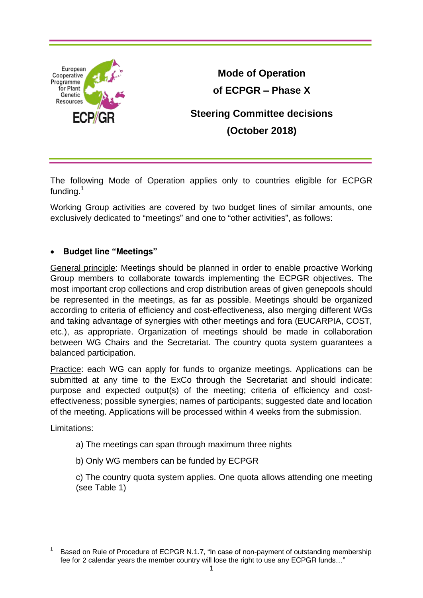

**Mode of Operation of ECPGR – Phase X Steering Committee decisions (October 2018)**

The following Mode of Operation applies only to countries eligible for ECPGR funding.<sup>1</sup>

Working Group activities are covered by two budget lines of similar amounts, one exclusively dedicated to "meetings" and one to "other activities", as follows:

## **Budget line "Meetings"**

General principle: Meetings should be planned in order to enable proactive Working Group members to collaborate towards implementing the ECPGR objectives. The most important crop collections and crop distribution areas of given genepools should be represented in the meetings, as far as possible. Meetings should be organized according to criteria of efficiency and cost-effectiveness, also merging different WGs and taking advantage of synergies with other meetings and fora (EUCARPIA, COST, etc.), as appropriate. Organization of meetings should be made in collaboration between WG Chairs and the Secretariat. The country quota system guarantees a balanced participation.

Practice: each WG can apply for funds to organize meetings. Applications can be submitted at any time to the ExCo through the Secretariat and should indicate: purpose and expected output(s) of the meeting; criteria of efficiency and costeffectiveness; possible synergies; names of participants; suggested date and location of the meeting. Applications will be processed within 4 weeks from the submission.

Limitations:

- a) The meetings can span through maximum three nights
- b) Only WG members can be funded by ECPGR

c) The country quota system applies. One quota allows attending one meeting (see Table 1)

 $\overline{\phantom{a}}$ 1 Based on Rule of Procedure of ECPGR N.1.7, "In case of non-payment of outstanding membership fee for 2 calendar years the member country will lose the right to use any ECPGR funds…"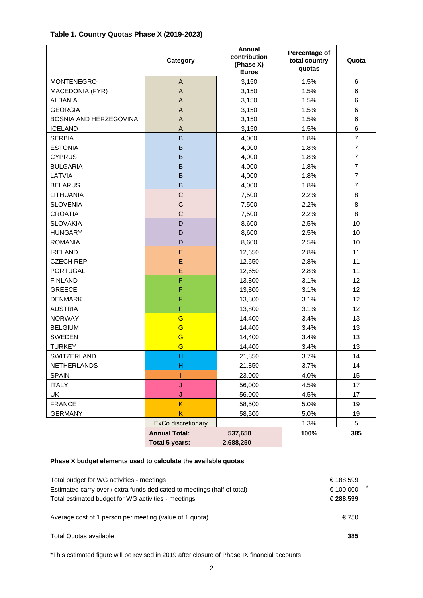## **Table 1. Country Quotas Phase X (2019-2023)**

|                        | Category             | Annual<br>contribution<br>(Phase X)<br><b>Euros</b> | Percentage of<br>total country<br>quotas | Quota          |
|------------------------|----------------------|-----------------------------------------------------|------------------------------------------|----------------|
| <b>MONTENEGRO</b>      | $\mathsf{A}$         | 3,150                                               | 1.5%                                     | 6              |
| MACEDONIA (FYR)        | A                    | 3,150                                               | 1.5%                                     | 6              |
| <b>ALBANIA</b>         | A                    | 3,150                                               | 1.5%                                     | 6              |
| <b>GEORGIA</b>         | A                    | 3,150                                               | 1.5%                                     | 6              |
| BOSNIA AND HERZEGOVINA | A                    | 3,150                                               | 1.5%                                     | 6              |
| <b>ICELAND</b>         | A                    | 3,150                                               | 1.5%                                     | 6              |
| <b>SERBIA</b>          | $\sf B$              | 4,000                                               | 1.8%                                     | $\overline{7}$ |
| <b>ESTONIA</b>         | $\mathsf B$          | 4,000                                               | 1.8%                                     | $\overline{7}$ |
| <b>CYPRUS</b>          | B                    | 4,000                                               | 1.8%                                     | $\overline{7}$ |
| <b>BULGARIA</b>        | B                    | 4,000                                               | 1.8%                                     | $\overline{7}$ |
| LATVIA                 | B                    | 4,000                                               | 1.8%                                     | $\overline{7}$ |
| <b>BELARUS</b>         | B                    | 4,000                                               | 1.8%                                     | $\overline{7}$ |
| <b>LITHUANIA</b>       | $\mathsf{C}$         | 7,500                                               | 2.2%                                     | 8              |
| <b>SLOVENIA</b>        | $\mathsf{C}$         | 7,500                                               | 2.2%                                     | 8              |
| <b>CROATIA</b>         | $\mathsf{C}$         | 7,500                                               | 2.2%                                     | 8              |
| <b>SLOVAKIA</b>        | D                    | 8,600                                               | 2.5%                                     | 10             |
| <b>HUNGARY</b>         | D                    | 8,600                                               | 2.5%                                     | 10             |
| <b>ROMANIA</b>         | D                    | 8,600                                               | 2.5%                                     | 10             |
| <b>IRELAND</b>         | E                    | 12,650                                              | 2.8%                                     | 11             |
| CZECH REP.             | E                    | 12,650                                              | 2.8%                                     | 11             |
| <b>PORTUGAL</b>        | E                    | 12,650                                              | 2.8%                                     | 11             |
| <b>FINLAND</b>         | F                    | 13,800                                              | 3.1%                                     | 12             |
| <b>GREECE</b>          | F                    | 13,800                                              | 3.1%                                     | 12             |
| <b>DENMARK</b>         | F                    | 13,800                                              | 3.1%                                     | 12             |
| <b>AUSTRIA</b>         | F                    | 13,800                                              | 3.1%                                     | 12             |
| <b>NORWAY</b>          | G                    | 14,400                                              | 3.4%                                     | 13             |
| <b>BELGIUM</b>         | G                    | 14,400                                              | 3.4%                                     | 13             |
| <b>SWEDEN</b>          | G                    | 14,400                                              | 3.4%                                     | 13             |
| <b>TURKEY</b>          | G                    | 14,400                                              | 3.4%                                     | 13             |
| SWITZERLAND            | H                    | 21,850                                              | 3.7%                                     | 14             |
| <b>NETHERLANDS</b>     | н                    | 21,850                                              | 3.7%                                     | 14             |
| <b>SPAIN</b>           |                      | 23,000                                              | 4.0%                                     | 15             |
| <b>ITALY</b>           | J                    | 56,000                                              | 4.5%                                     | 17             |
| UK                     | J                    | 56,000                                              | 4.5%                                     | 17             |
| <b>FRANCE</b>          | K                    | 58,500                                              | 5.0%                                     | 19             |
| <b>GERMANY</b>         | K                    | 58,500                                              | 5.0%                                     | 19             |
|                        | ExCo discretionary   |                                                     | 1.3%                                     | 5              |
|                        | <b>Annual Total:</b> | 537,650                                             | 100%                                     | 385            |
|                        | Total 5 years:       | 2,688,250                                           |                                          |                |

## **Phase X budget elements used to calculate the available quotas**

| Total budget for WG activities - meetings                                | € 188.599 |
|--------------------------------------------------------------------------|-----------|
| Estimated carry over / extra funds dedicated to meetings (half of total) | € 100.000 |
| Total estimated budget for WG activities - meetings                      | € 288,599 |
| Average cost of 1 person per meeting (value of 1 guota)                  | € 750     |
| Total Quotas available                                                   | 385       |

\*This estimated figure will be revised in 2019 after closure of Phase IX financial accounts